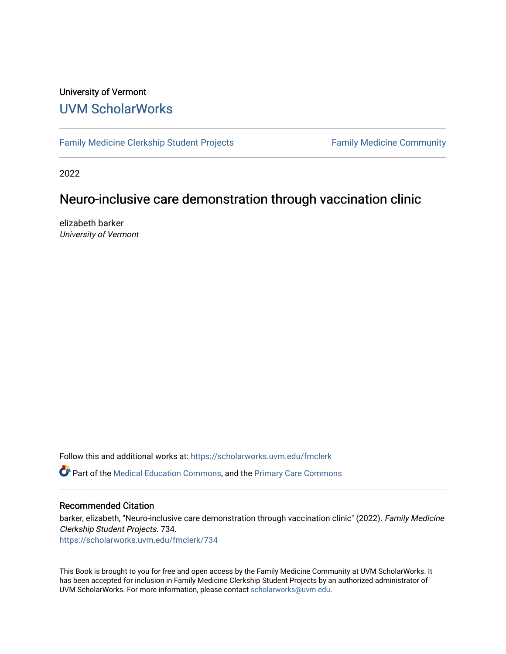#### University of Vermont [UVM ScholarWorks](https://scholarworks.uvm.edu/)

[Family Medicine Clerkship Student Projects](https://scholarworks.uvm.edu/fmclerk) Family Medicine Community

2022

#### Neuro-inclusive care demonstration through vaccination clinic

elizabeth barker University of Vermont

Follow this and additional works at: [https://scholarworks.uvm.edu/fmclerk](https://scholarworks.uvm.edu/fmclerk?utm_source=scholarworks.uvm.edu%2Ffmclerk%2F734&utm_medium=PDF&utm_campaign=PDFCoverPages) 

Part of the [Medical Education Commons,](http://network.bepress.com/hgg/discipline/1125?utm_source=scholarworks.uvm.edu%2Ffmclerk%2F734&utm_medium=PDF&utm_campaign=PDFCoverPages) and the [Primary Care Commons](http://network.bepress.com/hgg/discipline/1092?utm_source=scholarworks.uvm.edu%2Ffmclerk%2F734&utm_medium=PDF&utm_campaign=PDFCoverPages) 

#### Recommended Citation

barker, elizabeth, "Neuro-inclusive care demonstration through vaccination clinic" (2022). Family Medicine Clerkship Student Projects. 734.

[https://scholarworks.uvm.edu/fmclerk/734](https://scholarworks.uvm.edu/fmclerk/734?utm_source=scholarworks.uvm.edu%2Ffmclerk%2F734&utm_medium=PDF&utm_campaign=PDFCoverPages) 

This Book is brought to you for free and open access by the Family Medicine Community at UVM ScholarWorks. It has been accepted for inclusion in Family Medicine Clerkship Student Projects by an authorized administrator of UVM ScholarWorks. For more information, please contact [scholarworks@uvm.edu.](mailto:scholarworks@uvm.edu)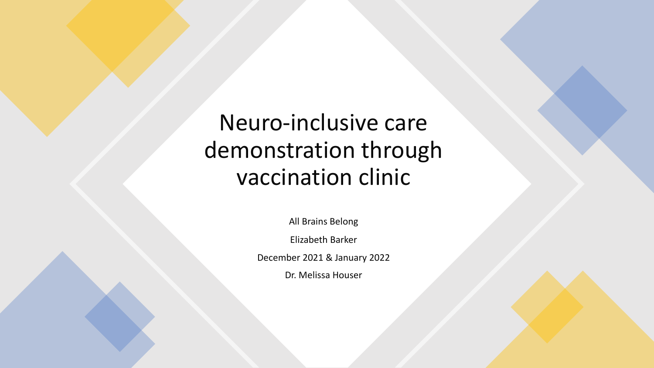Neuro-inclusive care demonstration through vaccination clinic

All Brains Belong

Elizabeth Barker

December 2021 & January 2022

Dr. Melissa Houser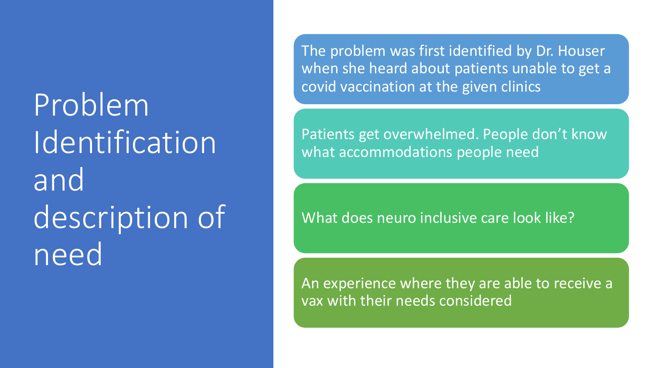Problem Identification and description of need

The problem was first identified by Dr. Houser when she heard about patients unable to get a covid vaccination at the given clinics

Patients get overwhelmed. People don't know what accommodations people need

What does neuro inclusive care look like?

An experience where they are able to receive a vax with their needs considered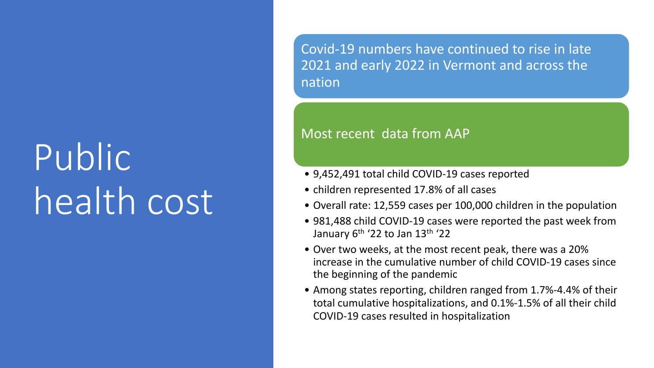# Public health cost

Covid-19 numbers have continued to rise in late 2021 and early 2022 in Vermont and across the nation

#### Most recent data from AAP

- 9,452,491 total child COVID-19 cases reported
- children represented 17.8% of all cases
- Overall rate: 12,559 cases per 100,000 children in the population
- 981,488 child COVID-19 cases were reported the past week from January  $6<sup>th</sup>$  '22 to Jan 13<sup>th</sup> '22
- Over two weeks, at the most recent peak, there was a 20% increase in the cumulative number of child COVID-19 cases since the beginning of the pandemic
- Among states reporting, children ranged from 1.7%-4.4% of their total cumulative hospitalizations, and 0.1%-1.5% of all their child COVID-19 cases resulted in hospitalization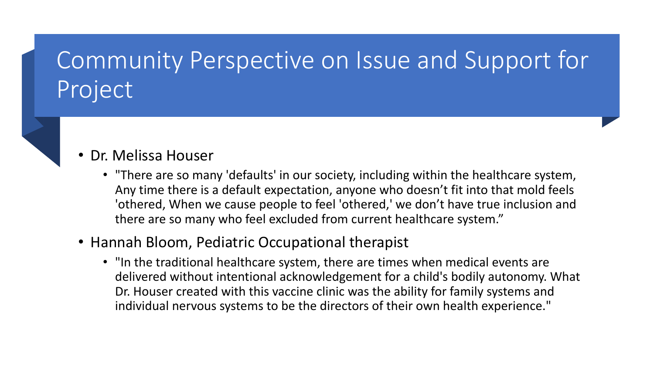# Community Perspective on Issue and Support for Project



• "There are so many 'defaults' in our society, including within the healthcare system, Any time there is a default expectation, anyone who doesn't fit into that mold feels 'othered, When we cause people to feel 'othered,' we don't have true inclusion and there are so many who feel excluded from current healthcare system."

#### • Hannah Bloom, Pediatric Occupational therapist

• "In the traditional healthcare system, there are times when medical events are delivered without intentional acknowledgement for a child's bodily autonomy. What Dr. Houser created with this vaccine clinic was the ability for family systems and individual nervous systems to be the directors of their own health experience."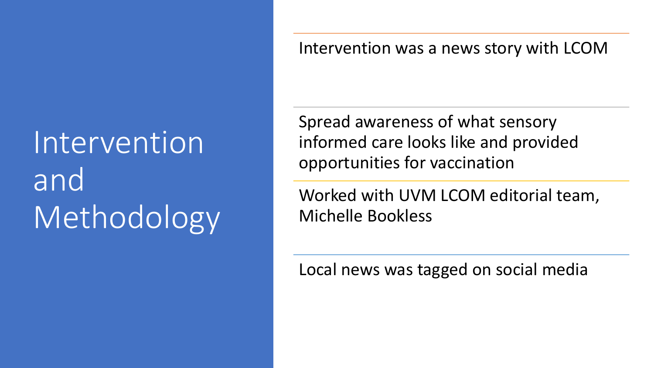# Intervention and Methodology

Intervention was a news story with LCOM

Spread awareness of what sensory informed care looks like and provided opportunities for vaccination

Worked with UVM LCOM editorial team, Michelle Bookless

Local news was tagged on social media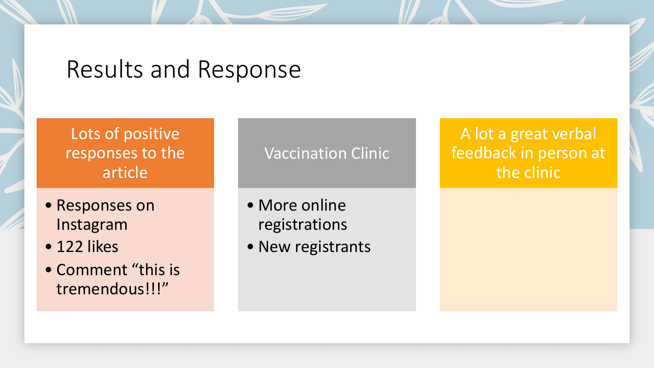## Results and Response

### Lots of positive responses to the article

- Responses on Instagram
- 122 likes
- Comment "this is tremendous!!!"

### Vaccination Clinic

• More online registrations

• New registrants

### A lot a great verbal feedback in person at the clinic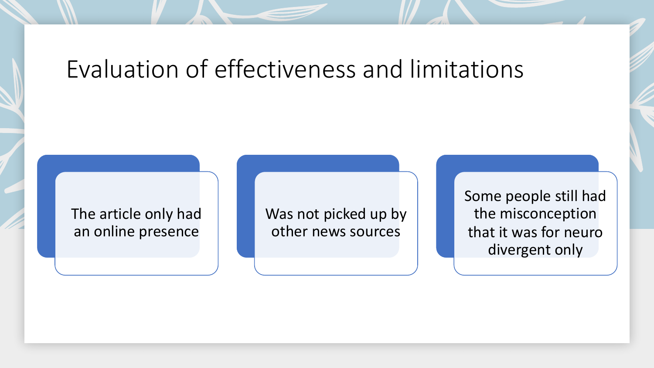## Evaluation of effectiveness and limitations

### The article only had an online presence

Was not picked up by other news sources

Some people still had the misconception that it was for neuro divergent only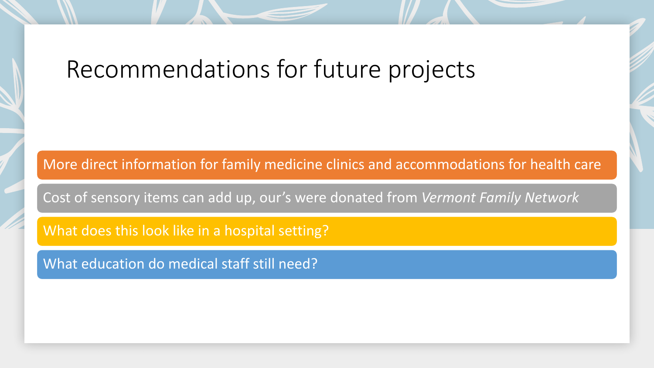## Recommendations for future projects

More direct information for family medicine clinics and accommodations for health care

Cost of sensory items can add up, our's were donated from *Vermont Family Network*

What does this look like in a hospital setting?

What education do medical staff still need?